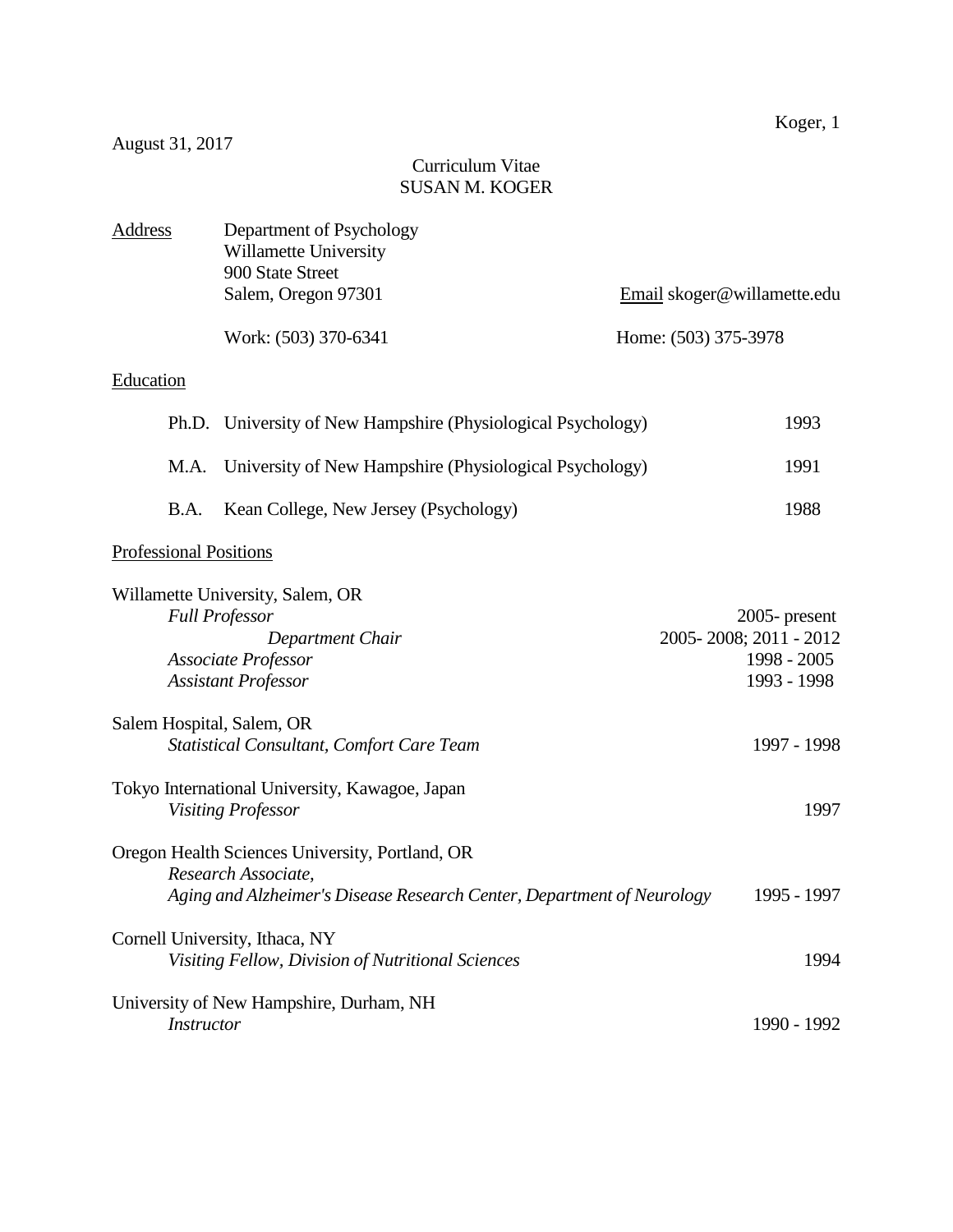# Curriculum Vitae SUSAN M. KOGER

| Address                       | Department of Psychology<br>Willamette University<br>900 State Street                                                                            |                                                                          |
|-------------------------------|--------------------------------------------------------------------------------------------------------------------------------------------------|--------------------------------------------------------------------------|
|                               | Salem, Oregon 97301                                                                                                                              | Email skoger@willamette.edu                                              |
|                               | Work: (503) 370-6341                                                                                                                             | Home: (503) 375-3978                                                     |
| Education                     |                                                                                                                                                  |                                                                          |
| Ph.D.                         | University of New Hampshire (Physiological Psychology)                                                                                           | 1993                                                                     |
| M.A.                          | University of New Hampshire (Physiological Psychology)                                                                                           | 1991                                                                     |
| B.A.                          | Kean College, New Jersey (Psychology)                                                                                                            | 1988                                                                     |
| <b>Professional Positions</b> |                                                                                                                                                  |                                                                          |
|                               | Willamette University, Salem, OR<br><b>Full Professor</b><br>Department Chair<br><b>Associate Professor</b><br><b>Assistant Professor</b>        | $2005$ - present<br>2005-2008; 2011 - 2012<br>1998 - 2005<br>1993 - 1998 |
| Salem Hospital, Salem, OR     | <b>Statistical Consultant, Comfort Care Team</b>                                                                                                 | 1997 - 1998                                                              |
|                               | Tokyo International University, Kawagoe, Japan<br><b>Visiting Professor</b>                                                                      | 1997                                                                     |
|                               | Oregon Health Sciences University, Portland, OR<br>Research Associate,<br>Aging and Alzheimer's Disease Research Center, Department of Neurology | 1995 - 1997                                                              |
|                               | Cornell University, Ithaca, NY<br>Visiting Fellow, Division of Nutritional Sciences                                                              | 1994                                                                     |
| Instructor                    | University of New Hampshire, Durham, NH                                                                                                          | 1990 - 1992                                                              |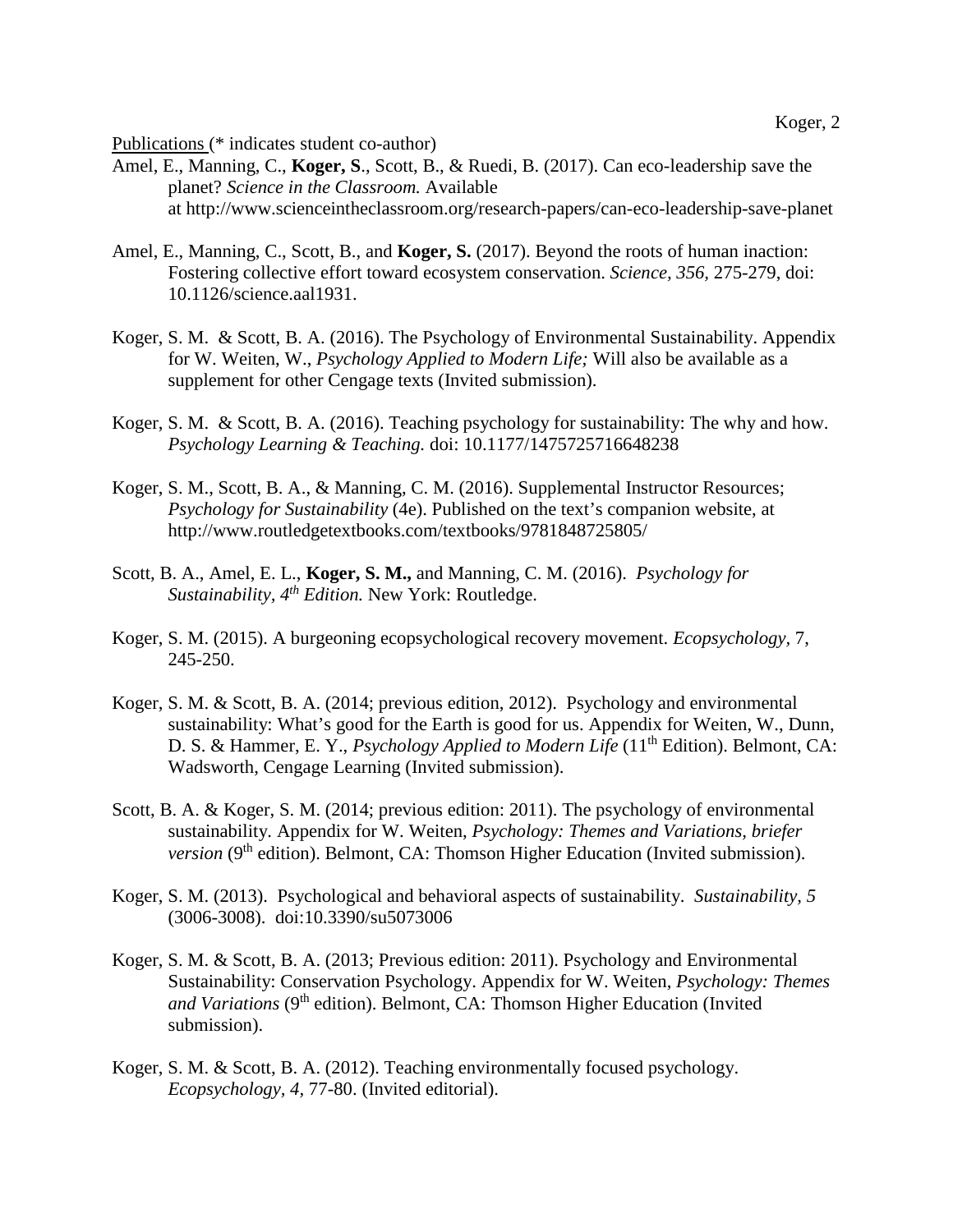Publications (\* indicates student co-author)

- Amel, E., Manning, C., **Koger, S**., Scott, B., & Ruedi, B. (2017). Can eco-leadership save the planet? *Science in the Classroom.* Available at http://www.scienceintheclassroom.org/research-papers/can-eco-leadership-save-planet
- Amel, E., Manning, C., Scott, B., and **Koger, S.** (2017). Beyond the roots of human inaction: Fostering collective effort toward ecosystem conservation. *Science, 356,* 275-279, doi: 10.1126/science.aal1931.
- Koger, S. M. & Scott, B. A. (2016). The Psychology of Environmental Sustainability. Appendix for W. Weiten, W., *Psychology Applied to Modern Life;* Will also be available as a supplement for other Cengage texts (Invited submission).
- Koger, S. M. & Scott, B. A. (2016). Teaching psychology for sustainability: The why and how. *Psychology Learning & Teaching.* doi: 10.1177/1475725716648238
- Koger, S. M., Scott, B. A., & Manning, C. M. (2016). Supplemental Instructor Resources; *Psychology for Sustainability* (4e). Published on the text's companion website, at http://www.routledgetextbooks.com/textbooks/9781848725805/
- Scott, B. A., Amel, E. L., **Koger, S. M.,** and Manning, C. M. (2016). *Psychology for Sustainability, 4th Edition.* New York: Routledge.
- Koger, S. M. (2015). A burgeoning ecopsychological recovery movement. *Ecopsychology,* 7, 245-250.
- Koger, S. M. & Scott, B. A. (2014; previous edition, 2012). Psychology and environmental sustainability: What's good for the Earth is good for us. Appendix for Weiten, W., Dunn, D. S. & Hammer, E. Y., *Psychology Applied to Modern Life* (11<sup>th</sup> Edition). Belmont, CA: Wadsworth, Cengage Learning (Invited submission).
- Scott, B. A. & Koger, S. M. (2014; previous edition: 2011). The psychology of environmental sustainability. Appendix for W. Weiten, *Psychology: Themes and Variations, briefer version* (9<sup>th</sup> edition). Belmont, CA: Thomson Higher Education (Invited submission).
- Koger, S. M. (2013). Psychological and behavioral aspects of sustainability. *Sustainability, 5* (3006-3008). doi:10.3390/su5073006
- Koger, S. M. & Scott, B. A. (2013; Previous edition: 2011). Psychology and Environmental Sustainability: Conservation Psychology. Appendix for W. Weiten, *Psychology: Themes and Variations* (9<sup>th</sup> edition). Belmont, CA: Thomson Higher Education (Invited submission).
- Koger, S. M. & Scott, B. A. (2012). Teaching environmentally focused psychology. *Ecopsychology, 4,* 77-80. (Invited editorial).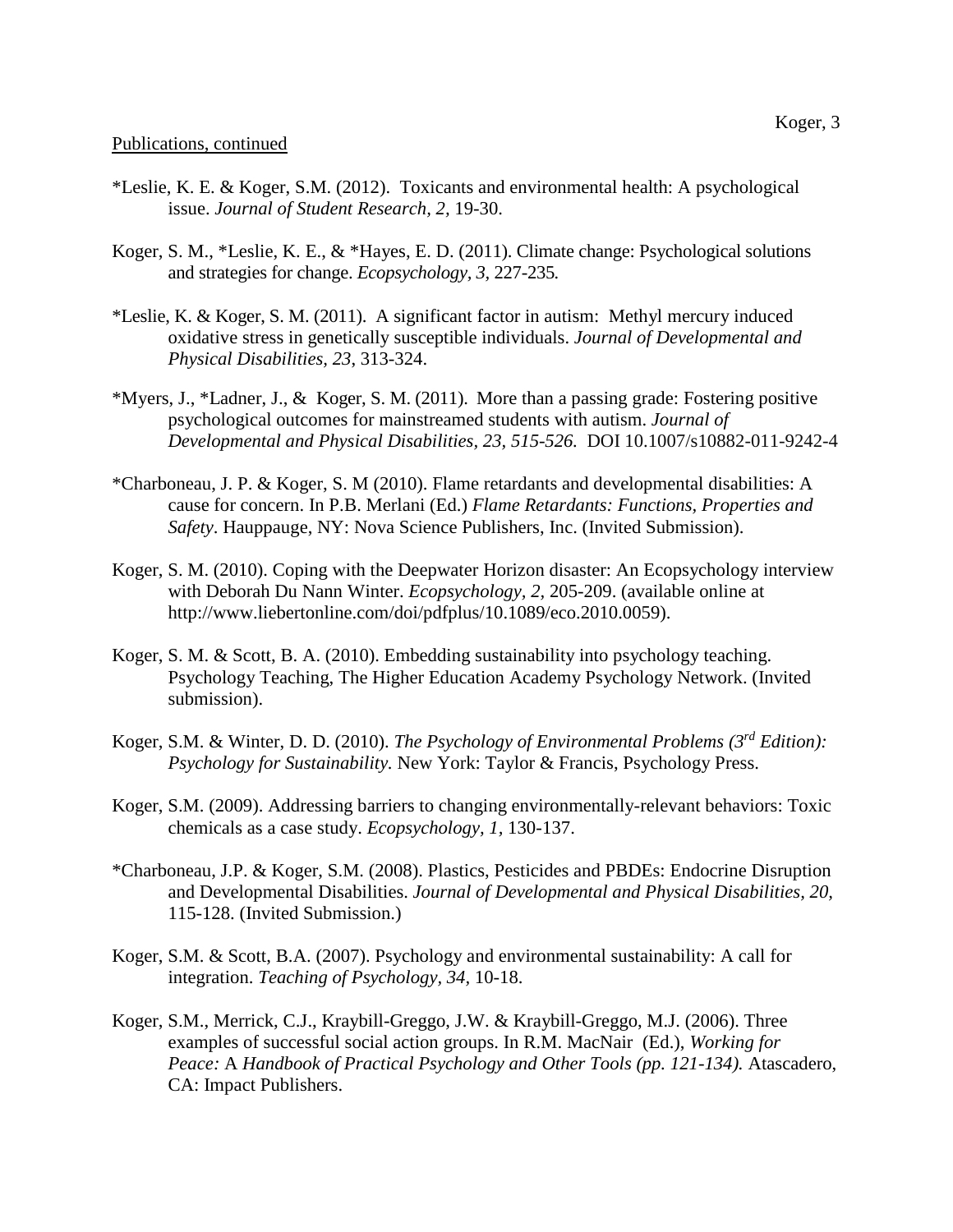- \*Leslie, K. E. & Koger, S.M. (2012). Toxicants and environmental health: A psychological issue. *Journal of Student Research, 2,* 19-30.
- Koger, S. M., \*Leslie, K. E., & \*Hayes, E. D. (2011). Climate change: Psychological solutions and strategies for change. *Ecopsychology, 3,* 227-235*.*
- \*Leslie, K. & Koger, S. M. (2011). A significant factor in autism: Methyl mercury induced oxidative stress in genetically susceptible individuals. *Journal of Developmental and Physical Disabilities, 23*, 313-324.
- \*Myers, J., \*Ladner, J., & Koger, S. M. (2011). More than a passing grade: Fostering positive psychological outcomes for mainstreamed students with autism. *Journal of Developmental and Physical Disabilities, 23, 515-526.* DOI 10.1007/s10882-011-9242-4
- \*Charboneau, J. P. & Koger, S. M (2010). Flame retardants and developmental disabilities: A cause for concern. In P.B. Merlani (Ed.) *Flame Retardants: Functions, Properties and Safety*. Hauppauge, NY: Nova Science Publishers, Inc. (Invited Submission).
- Koger, S. M. (2010). Coping with the Deepwater Horizon disaster: An Ecopsychology interview with Deborah Du Nann Winter. *Ecopsychology, 2,* 205-209. (available online at http://www.liebertonline.com/doi/pdfplus/10.1089/eco.2010.0059).
- Koger, S. M. & Scott, B. A. (2010). Embedding sustainability into psychology teaching. Psychology Teaching, The Higher Education Academy Psychology Network. (Invited submission).
- Koger, S.M. & Winter, D. D. (2010). *The Psychology of Environmental Problems (3rd Edition): Psychology for Sustainability.* New York: Taylor & Francis, Psychology Press.
- Koger, S.M. (2009). Addressing barriers to changing environmentally-relevant behaviors: Toxic chemicals as a case study. *Ecopsychology, 1,* 130-137.
- \*Charboneau, J.P. & Koger, S.M. (2008). Plastics, Pesticides and PBDEs: Endocrine Disruption and Developmental Disabilities. *Journal of Developmental and Physical Disabilities, 20,*  115-128. (Invited Submission.)
- Koger, S.M. & Scott, B.A. (2007). Psychology and environmental sustainability: A call for integration. *Teaching of Psychology, 34,* 10-18.
- Koger, S.M., Merrick, C.J., Kraybill-Greggo, J.W. & Kraybill-Greggo, M.J. (2006). Three examples of successful social action groups. In R.M. MacNair (Ed.), *Working for Peace:* A *Handbook of Practical Psychology and Other Tools (pp. 121-134).* Atascadero, CA: Impact Publishers.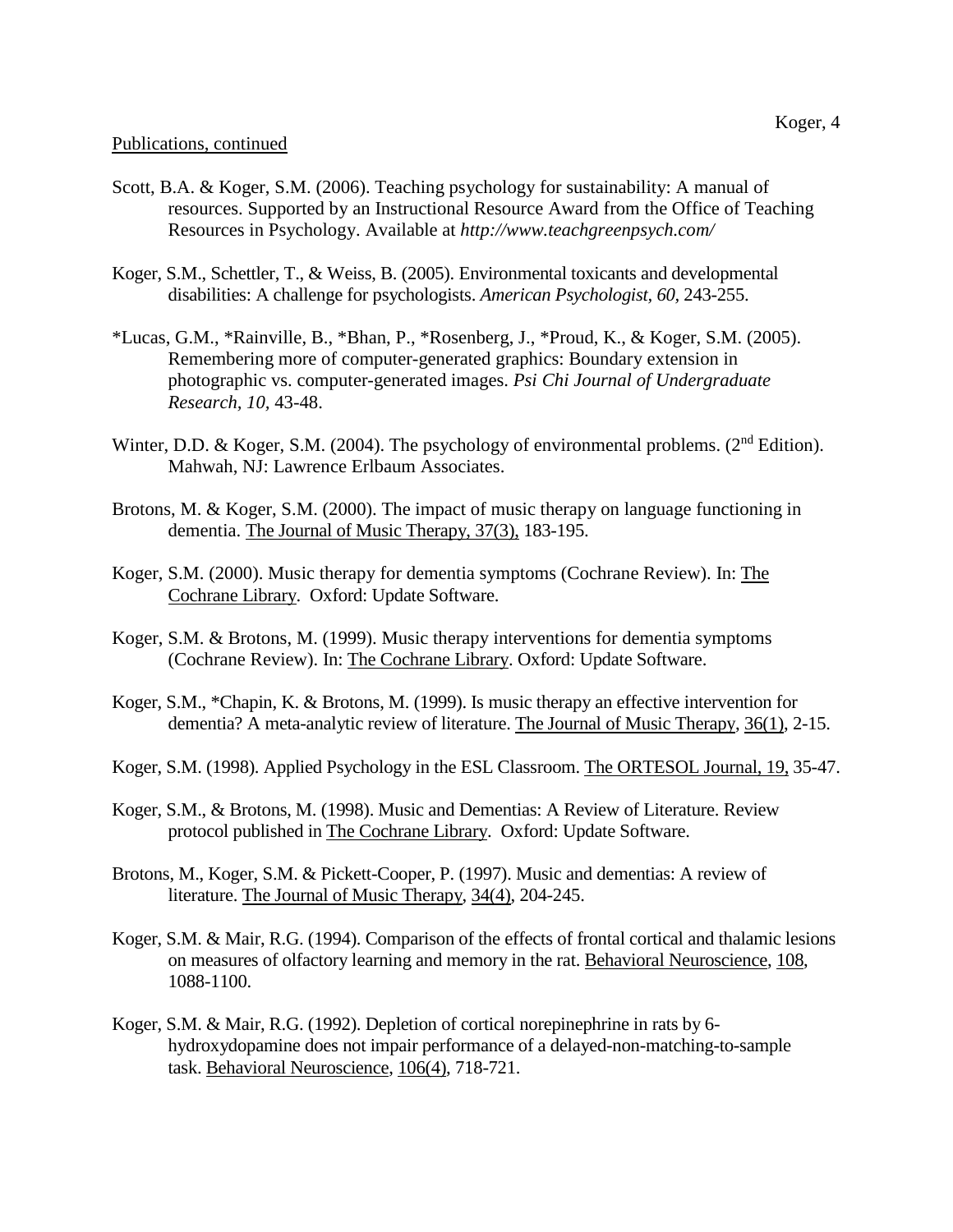- Scott, B.A. & Koger, S.M. (2006). Teaching psychology for sustainability: A manual of resources. Supported by an Instructional Resource Award from the Office of Teaching Resources in Psychology. Available at *http://www.teachgreenpsych.com/*
- Koger, S.M., Schettler, T., & Weiss, B. (2005). Environmental toxicants and developmental disabilities: A challenge for psychologists. *American Psychologist, 60,* 243-255.
- \*Lucas, G.M., \*Rainville, B., \*Bhan, P., \*Rosenberg, J., \*Proud, K., & Koger, S.M. (2005). Remembering more of computer-generated graphics: Boundary extension in photographic vs. computer-generated images. *Psi Chi Journal of Undergraduate Research, 10,* 43-48.
- Winter, D.D. & Koger, S.M. (2004). The psychology of environmental problems. (2<sup>nd</sup> Edition). Mahwah, NJ: Lawrence Erlbaum Associates.
- Brotons, M. & Koger, S.M. (2000). The impact of music therapy on language functioning in dementia. The Journal of Music Therapy, 37(3), 183-195.
- Koger, S.M. (2000). Music therapy for dementia symptoms (Cochrane Review). In: The Cochrane Library. Oxford: Update Software.
- Koger, S.M. & Brotons, M. (1999). Music therapy interventions for dementia symptoms (Cochrane Review). In: The Cochrane Library. Oxford: Update Software.
- Koger, S.M., \*Chapin, K. & Brotons, M. (1999). Is music therapy an effective intervention for dementia? A meta-analytic review of literature. The Journal of Music Therapy, 36(1), 2-15.
- Koger, S.M. (1998). Applied Psychology in the ESL Classroom. The ORTESOL Journal, 19, 35-47.
- Koger, S.M., & Brotons, M. (1998). Music and Dementias: A Review of Literature. Review protocol published in The Cochrane Library. Oxford: Update Software.
- Brotons, M., Koger, S.M. & Pickett-Cooper, P. (1997). Music and dementias: A review of literature. The Journal of Music Therapy, 34(4), 204-245.
- Koger, S.M. & Mair, R.G. (1994). Comparison of the effects of frontal cortical and thalamic lesions on measures of olfactory learning and memory in the rat. Behavioral Neuroscience, 108, 1088-1100.
- Koger, S.M. & Mair, R.G. (1992). Depletion of cortical norepinephrine in rats by 6 hydroxydopamine does not impair performance of a delayed-non-matching-to-sample task. Behavioral Neuroscience, 106(4), 718-721.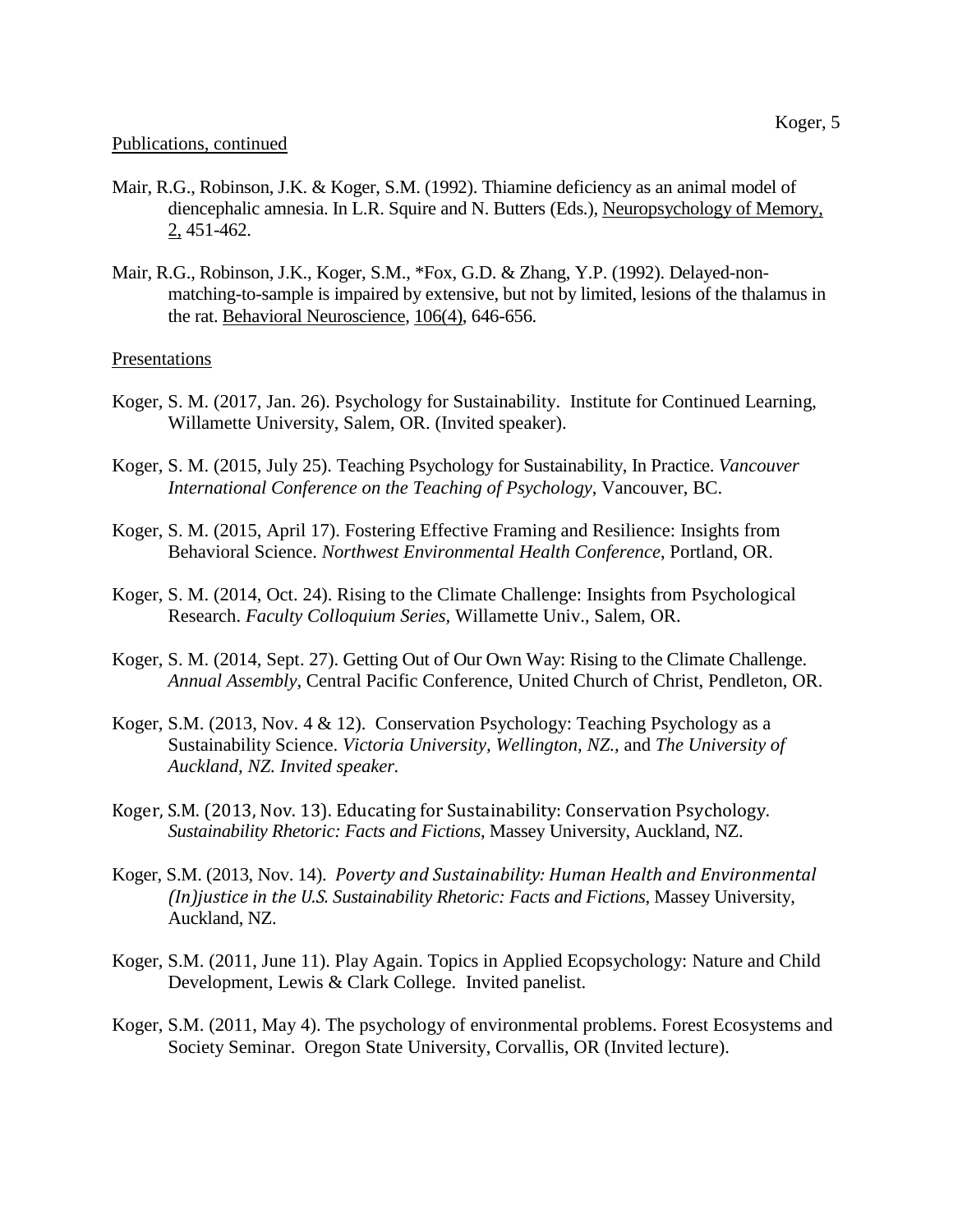- Mair, R.G., Robinson, J.K. & Koger, S.M. (1992). Thiamine deficiency as an animal model of diencephalic amnesia. In L.R. Squire and N. Butters (Eds.), Neuropsychology of Memory, 2, 451-462.
- Mair, R.G., Robinson, J.K., Koger, S.M., \*Fox, G.D. & Zhang, Y.P. (1992). Delayed-nonmatching-to-sample is impaired by extensive, but not by limited, lesions of the thalamus in the rat. Behavioral Neuroscience, 106(4), 646-656.

## **Presentations**

- Koger, S. M. (2017, Jan. 26). Psychology for Sustainability. Institute for Continued Learning, Willamette University, Salem, OR. (Invited speaker).
- Koger, S. M. (2015, July 25). Teaching Psychology for Sustainability, In Practice. *Vancouver International Conference on the Teaching of Psychology*, Vancouver, BC.
- Koger, S. M. (2015, April 17). Fostering Effective Framing and Resilience: Insights from Behavioral Science. *Northwest Environmental Health Conference*, Portland, OR.
- Koger, S. M. (2014, Oct. 24). Rising to the Climate Challenge: Insights from Psychological Research. *Faculty Colloquium Series,* Willamette Univ., Salem, OR.
- Koger, S. M. (2014, Sept. 27). Getting Out of Our Own Way: Rising to the Climate Challenge. *Annual Assembly*, Central Pacific Conference, United Church of Christ, Pendleton, OR.
- Koger, S.M. (2013, Nov. 4 & 12). Conservation Psychology: Teaching Psychology as a Sustainability Science. *Victoria University, Wellington, NZ.,* and *The University of Auckland, NZ. Invited speaker.*
- Koger, S.M. (2013, Nov. 13). Educating for Sustainability: Conservation Psychology. *Sustainability Rhetoric: Facts and Fictions*, Massey University, Auckland, NZ.
- Koger, S.M. (2013, Nov. 14). *Poverty and Sustainability: Human Health and Environmental (In)justice in the U.S. Sustainability Rhetoric: Facts and Fictions*, Massey University, Auckland, NZ.
- Koger, S.M. (2011, June 11). Play Again. Topics in Applied Ecopsychology: Nature and Child Development, Lewis & Clark College. Invited panelist.
- Koger, S.M. (2011, May 4). The psychology of environmental problems. Forest Ecosystems and Society Seminar. Oregon State University, Corvallis, OR (Invited lecture).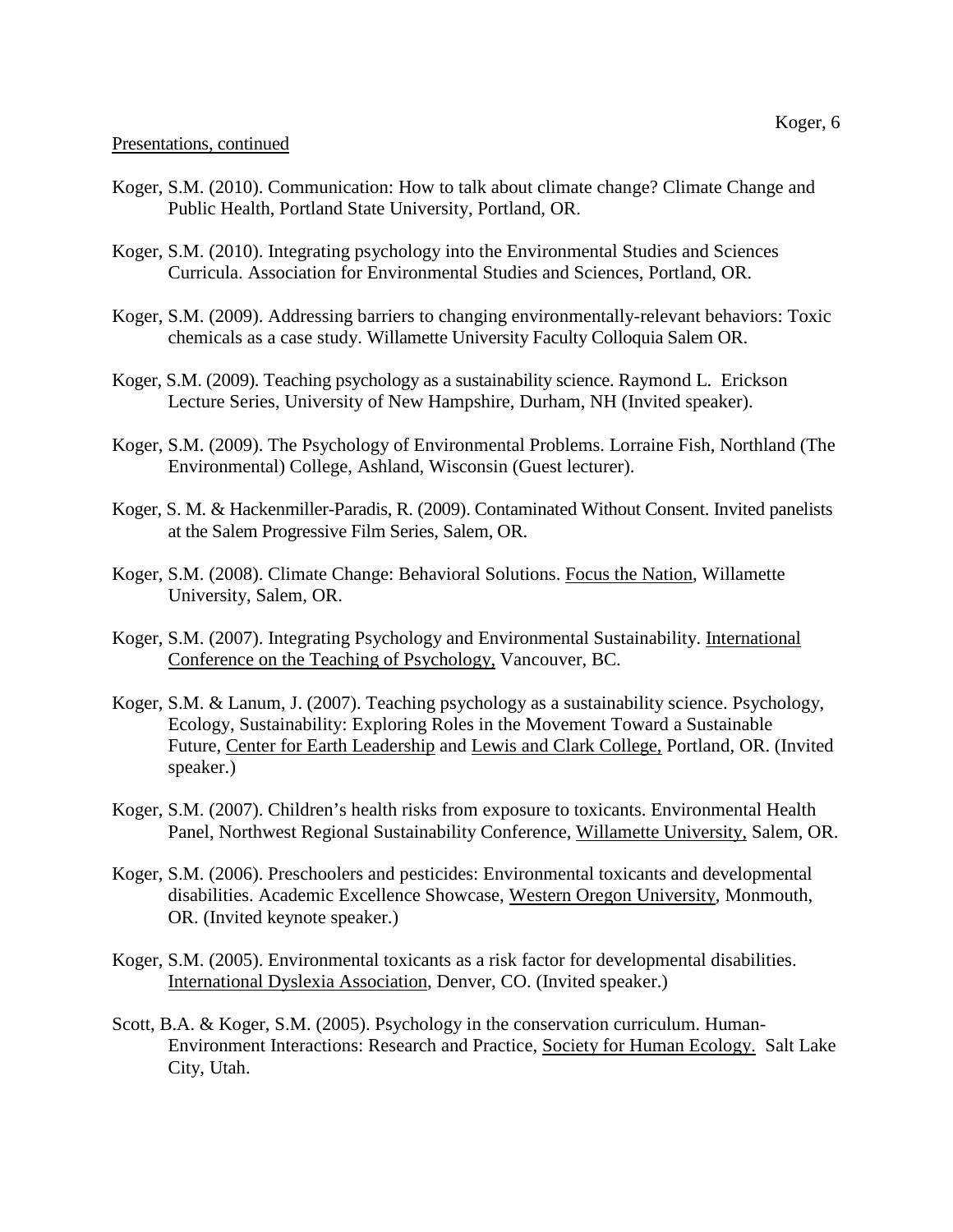- Koger, S.M. (2010). Communication: How to talk about climate change? Climate Change and Public Health, Portland State University, Portland, OR.
- Koger, S.M. (2010). Integrating psychology into the Environmental Studies and Sciences Curricula. Association for Environmental Studies and Sciences, Portland, OR.
- Koger, S.M. (2009). Addressing barriers to changing environmentally-relevant behaviors: Toxic chemicals as a case study. Willamette University Faculty Colloquia Salem OR.
- Koger, S.M. (2009). Teaching psychology as a sustainability science. Raymond L. Erickson Lecture Series, University of New Hampshire, Durham, NH (Invited speaker).
- Koger, S.M. (2009). The Psychology of Environmental Problems. Lorraine Fish, Northland (The Environmental) College, Ashland, Wisconsin (Guest lecturer).
- Koger, S. M. & Hackenmiller-Paradis, R. (2009). Contaminated Without Consent. Invited panelists at the Salem Progressive Film Series, Salem, OR.
- Koger, S.M. (2008). Climate Change: Behavioral Solutions. Focus the Nation, Willamette University, Salem, OR.
- Koger, S.M. (2007). Integrating Psychology and Environmental Sustainability. International Conference on the Teaching of Psychology, Vancouver, BC.
- Koger, S.M. & Lanum, J. (2007). Teaching psychology as a sustainability science. Psychology, Ecology, Sustainability: Exploring Roles in the Movement Toward a Sustainable Future, Center for Earth Leadership and Lewis and Clark College, Portland, OR. (Invited speaker.)
- Koger, S.M. (2007). Children's health risks from exposure to toxicants. Environmental Health Panel, Northwest Regional Sustainability Conference, Willamette University, Salem, OR.
- Koger, S.M. (2006). Preschoolers and pesticides: Environmental toxicants and developmental disabilities. Academic Excellence Showcase, Western Oregon University, Monmouth, OR. (Invited keynote speaker.)
- Koger, S.M. (2005). Environmental toxicants as a risk factor for developmental disabilities. International Dyslexia Association, Denver, CO. (Invited speaker.)
- Scott, B.A. & Koger, S.M. (2005). Psychology in the conservation curriculum. Human-Environment Interactions: Research and Practice, Society for Human Ecology. Salt Lake City, Utah.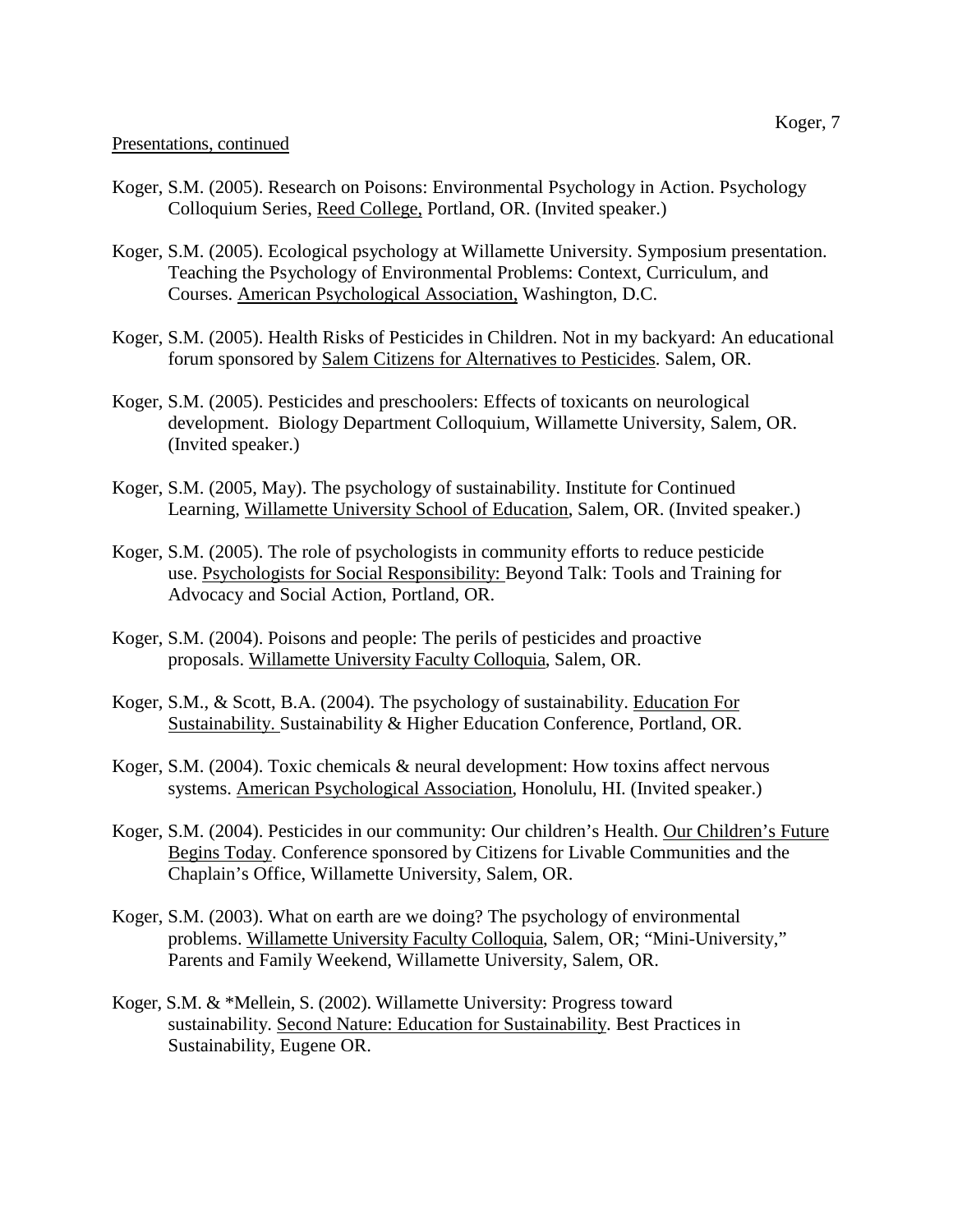## Presentations, continued

- Koger, S.M. (2005). Research on Poisons: Environmental Psychology in Action. Psychology Colloquium Series, Reed College, Portland, OR. (Invited speaker.)
- Koger, S.M. (2005). Ecological psychology at Willamette University. Symposium presentation. Teaching the Psychology of Environmental Problems: Context, Curriculum, and Courses. American Psychological Association, Washington, D.C.
- Koger, S.M. (2005). Health Risks of Pesticides in Children. Not in my backyard: An educational forum sponsored by Salem Citizens for Alternatives to Pesticides. Salem, OR.
- Koger, S.M. (2005). Pesticides and preschoolers: Effects of toxicants on neurological development. Biology Department Colloquium, Willamette University, Salem, OR. (Invited speaker.)
- Koger, S.M. (2005, May). The psychology of sustainability. Institute for Continued Learning, Willamette University School of Education, Salem, OR. (Invited speaker.)
- Koger, S.M. (2005). The role of psychologists in community efforts to reduce pesticide use. Psychologists for Social Responsibility: Beyond Talk: Tools and Training for Advocacy and Social Action, Portland, OR.
- Koger, S.M. (2004). Poisons and people: The perils of pesticides and proactive proposals. Willamette University Faculty Colloquia, Salem, OR.
- Koger, S.M., & Scott, B.A. (2004). The psychology of sustainability. Education For Sustainability. Sustainability & Higher Education Conference, Portland, OR.
- Koger, S.M. (2004). Toxic chemicals & neural development: How toxins affect nervous systems. American Psychological Association, Honolulu, HI. (Invited speaker.)
- Koger, S.M. (2004). Pesticides in our community: Our children's Health. Our Children's Future Begins Today. Conference sponsored by Citizens for Livable Communities and the Chaplain's Office, Willamette University, Salem, OR.
- Koger, S.M. (2003). What on earth are we doing? The psychology of environmental problems. Willamette University Faculty Colloquia, Salem, OR; "Mini-University," Parents and Family Weekend, Willamette University, Salem, OR.
- Koger, S.M. & \*Mellein, S. (2002). Willamette University: Progress toward sustainability. Second Nature: Education for Sustainability. Best Practices in Sustainability, Eugene OR.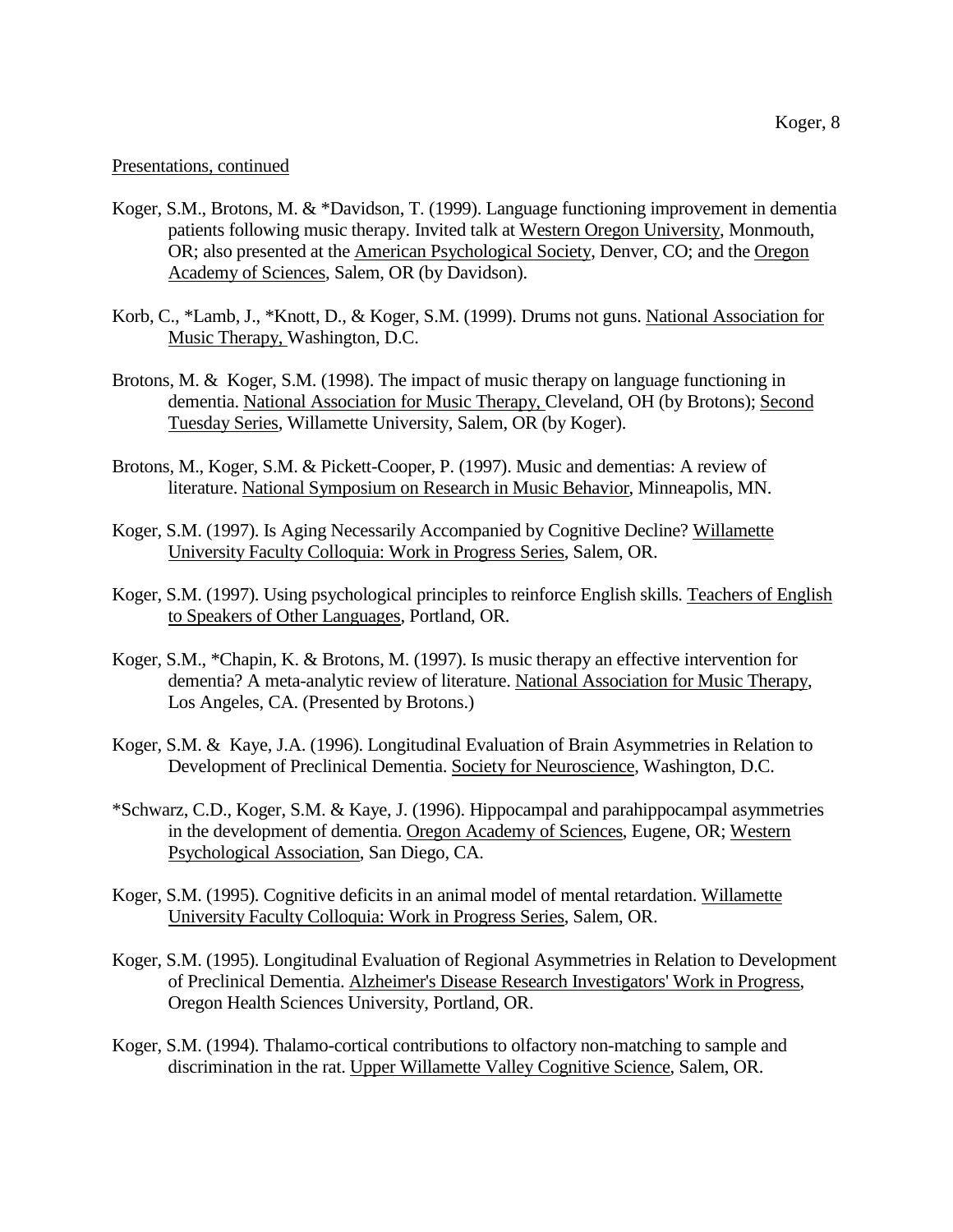#### Presentations, continued

- Koger, S.M., Brotons, M. & \*Davidson, T. (1999). Language functioning improvement in dementia patients following music therapy. Invited talk at Western Oregon University, Monmouth, OR; also presented at the American Psychological Society, Denver, CO; and the Oregon Academy of Sciences, Salem, OR (by Davidson).
- Korb, C., \*Lamb, J., \*Knott, D., & Koger, S.M. (1999). Drums not guns. National Association for Music Therapy, Washington, D.C.
- Brotons, M. & Koger, S.M. (1998). The impact of music therapy on language functioning in dementia. National Association for Music Therapy, Cleveland, OH (by Brotons); Second Tuesday Series, Willamette University, Salem, OR (by Koger).
- Brotons, M., Koger, S.M. & Pickett-Cooper, P. (1997). Music and dementias: A review of literature. National Symposium on Research in Music Behavior, Minneapolis, MN.
- Koger, S.M. (1997). Is Aging Necessarily Accompanied by Cognitive Decline? Willamette University Faculty Colloquia: Work in Progress Series, Salem, OR.
- Koger, S.M. (1997). Using psychological principles to reinforce English skills. Teachers of English to Speakers of Other Languages, Portland, OR.
- Koger, S.M., \*Chapin, K. & Brotons, M. (1997). Is music therapy an effective intervention for dementia? A meta-analytic review of literature. National Association for Music Therapy, Los Angeles, CA. (Presented by Brotons.)
- Koger, S.M. & Kaye, J.A. (1996). Longitudinal Evaluation of Brain Asymmetries in Relation to Development of Preclinical Dementia. Society for Neuroscience, Washington, D.C.
- \*Schwarz, C.D., Koger, S.M. & Kaye, J. (1996). Hippocampal and parahippocampal asymmetries in the development of dementia. Oregon Academy of Sciences, Eugene, OR; Western Psychological Association, San Diego, CA.
- Koger, S.M. (1995). Cognitive deficits in an animal model of mental retardation. Willamette University Faculty Colloquia: Work in Progress Series, Salem, OR.
- Koger, S.M. (1995). Longitudinal Evaluation of Regional Asymmetries in Relation to Development of Preclinical Dementia. Alzheimer's Disease Research Investigators' Work in Progress, Oregon Health Sciences University, Portland, OR.
- Koger, S.M. (1994). Thalamo-cortical contributions to olfactory non-matching to sample and discrimination in the rat. Upper Willamette Valley Cognitive Science, Salem, OR.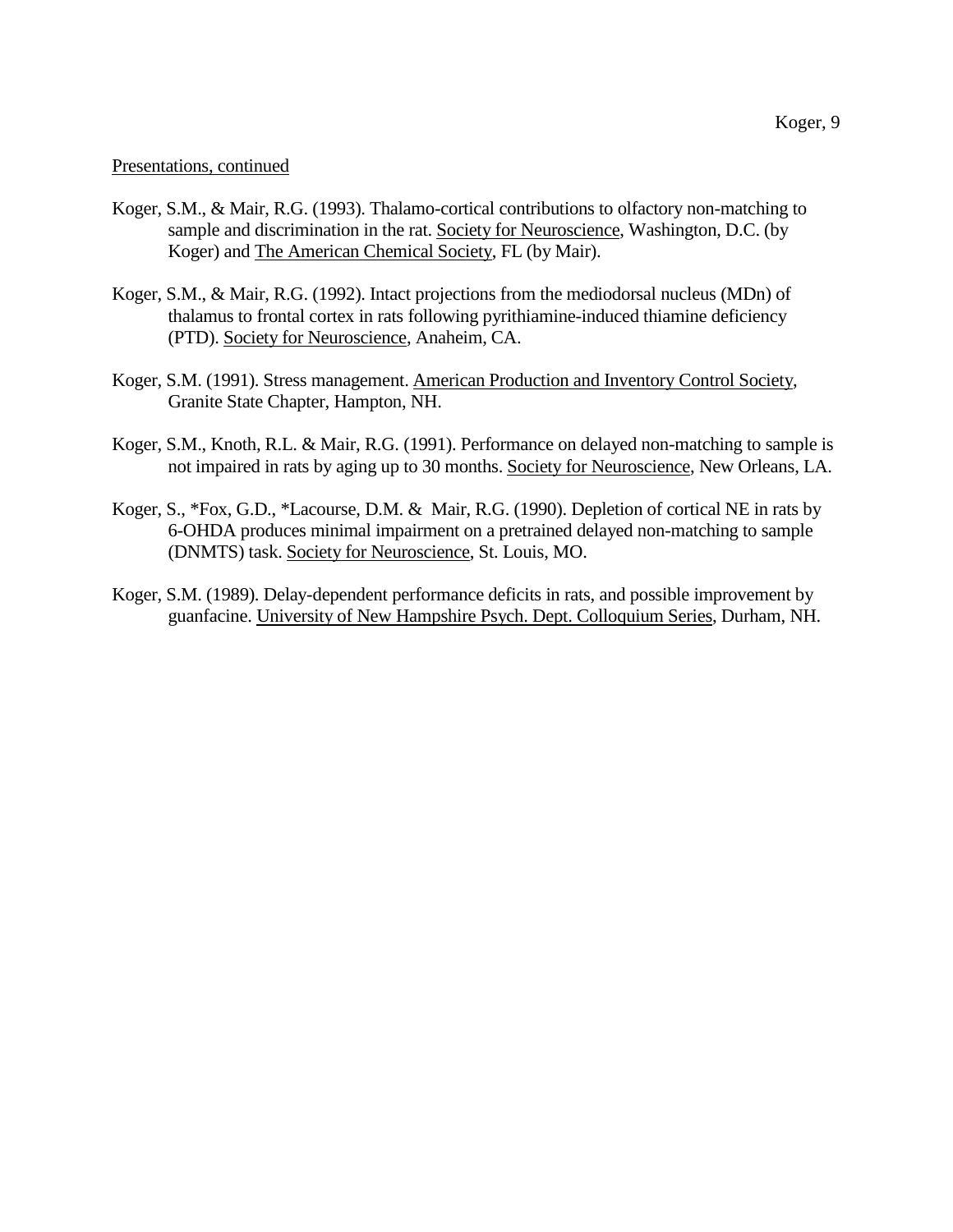#### Presentations, continued

- Koger, S.M., & Mair, R.G. (1993). Thalamo-cortical contributions to olfactory non-matching to sample and discrimination in the rat. Society for Neuroscience, Washington, D.C. (by Koger) and The American Chemical Society, FL (by Mair).
- Koger, S.M., & Mair, R.G. (1992). Intact projections from the mediodorsal nucleus (MDn) of thalamus to frontal cortex in rats following pyrithiamine-induced thiamine deficiency (PTD). Society for Neuroscience, Anaheim, CA.
- Koger, S.M. (1991). Stress management. American Production and Inventory Control Society, Granite State Chapter, Hampton, NH.
- Koger, S.M., Knoth, R.L. & Mair, R.G. (1991). Performance on delayed non-matching to sample is not impaired in rats by aging up to 30 months. Society for Neuroscience, New Orleans, LA.
- Koger, S., \*Fox, G.D., \*Lacourse, D.M. & Mair, R.G. (1990). Depletion of cortical NE in rats by 6-OHDA produces minimal impairment on a pretrained delayed non-matching to sample (DNMTS) task. Society for Neuroscience, St. Louis, MO.
- Koger, S.M. (1989). Delay-dependent performance deficits in rats, and possible improvement by guanfacine. University of New Hampshire Psych. Dept. Colloquium Series, Durham, NH.